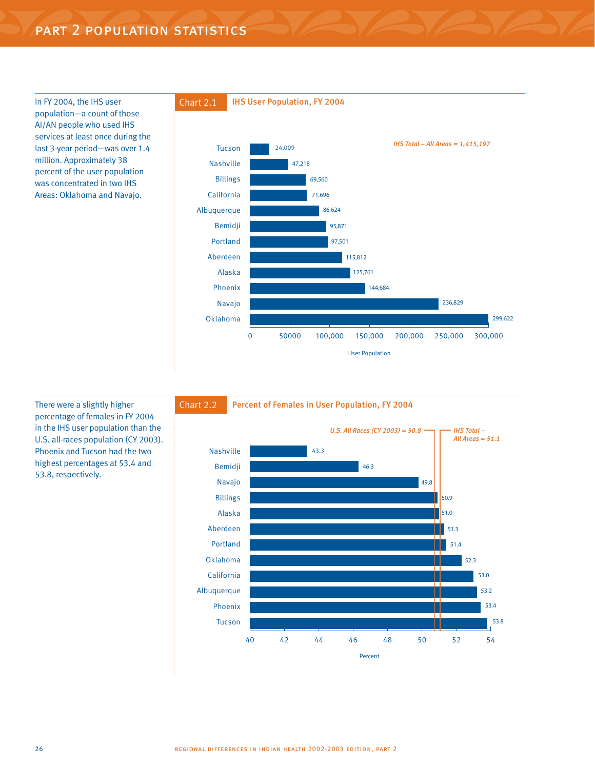In FY 2004, the IHS user population—a count of those AI/AN people who used IHS services at least once during the last 3-year period—was over 1.4 million. Approximately 38 percent of the user population was concentrated in two IHS Areas: Oklahoma and Navajo.





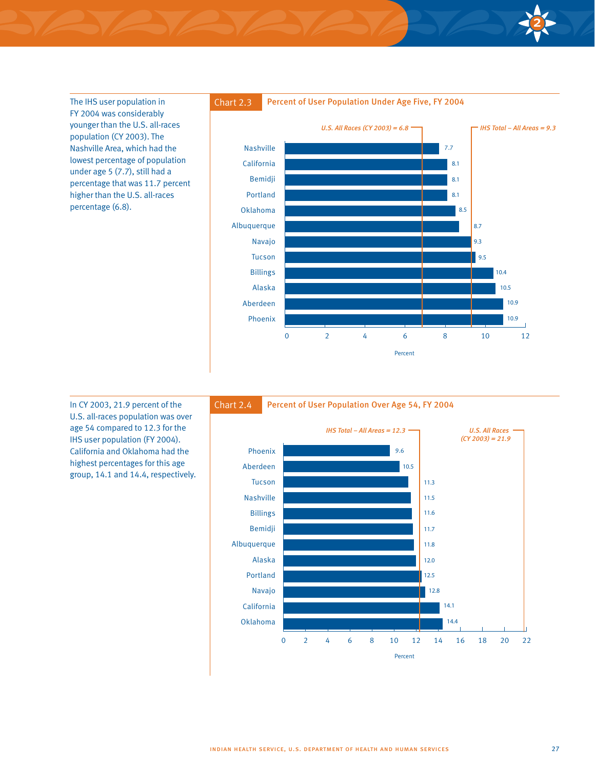The IHS user population in FY 2004 was considerably younger than the U.S. all-races population (CY 2003). The Nashville Area, which had the lowest percentage of population under age 5 (7.7), still had a percentage that was 11.7 percent higher than the U.S. all-races percentage (6.8).



In CY 2003, 21.9 percent of the U.S. all-races population was over age 54 compared to 12.3 for the IHS user population (FY 2004). California and Oklahoma had the highest percentages for this age group, 14.1 and 14.4, respectively.





2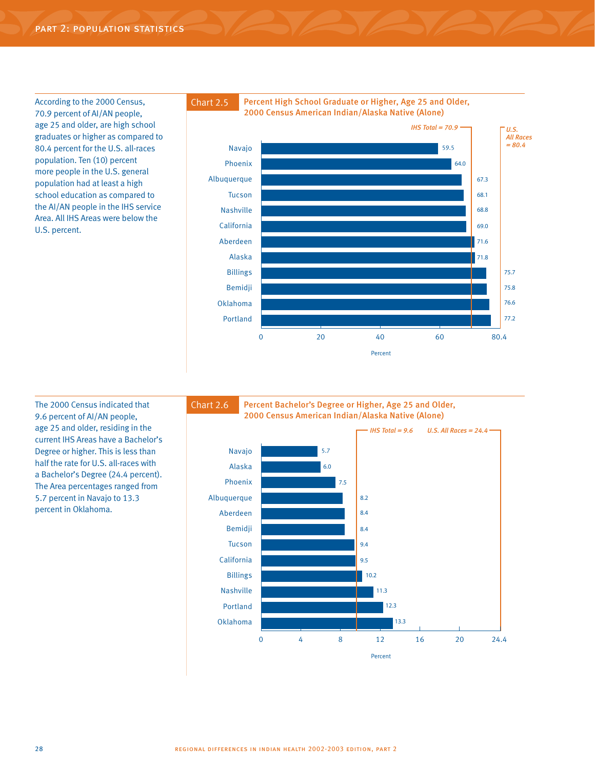According to the 2000 Census, 70.9 percent of AI/AN people, age 25 and older, are high school graduates or higher as compared to 80.4 percent for the U.S. all-races population. Ten (10) percent more people in the U.S. general population had at least a high school education as compared to the AI/AN people in the IHS service Area. All IHS Areas were below the U.S. percent.





The 2000 Census indicated that 9.6 percent of AI/AN people, age 25 and older, residing in the current IHS Areas have a Bachelor's Degree or higher. This is less than half the rate for U.S. all-races with a Bachelor's Degree (24.4 percent). The Area percentages ranged from 5.7 percent in Navajo to 13.3 percent in Oklahoma.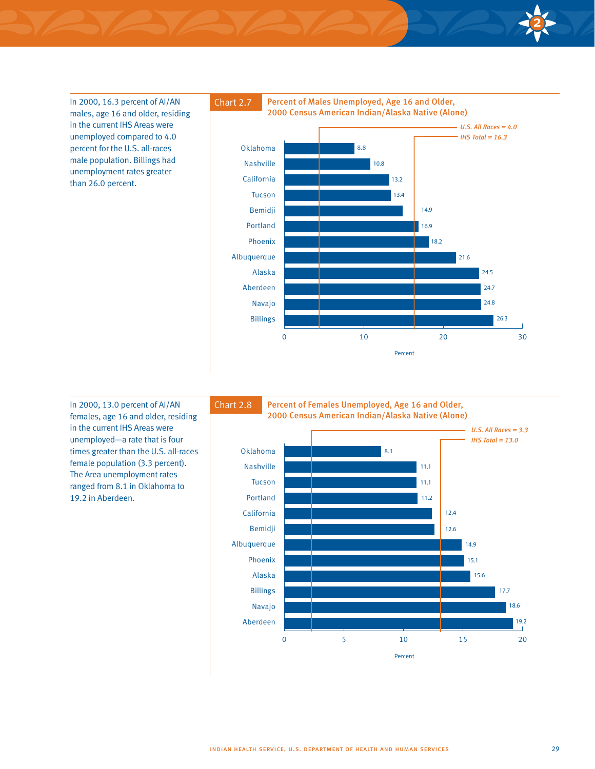In 2000, 16.3 percent of AI/AN males, age 16 and older, residing in the current IHS Areas were unemployed compared to 4.0 percent for the U.S. all-races male population. Billings had unemployment rates greater than 26.0 percent.



In 2000, 13.0 percent of AI/AN females, age 16 and older, residing in the current IHS Areas were unemployed—a rate that is four times greater than the U.S. all-races female population (3.3 percent). The Area unemployment rates ranged from 8.1 in Oklahoma to 19.2 in Aberdeen.



2